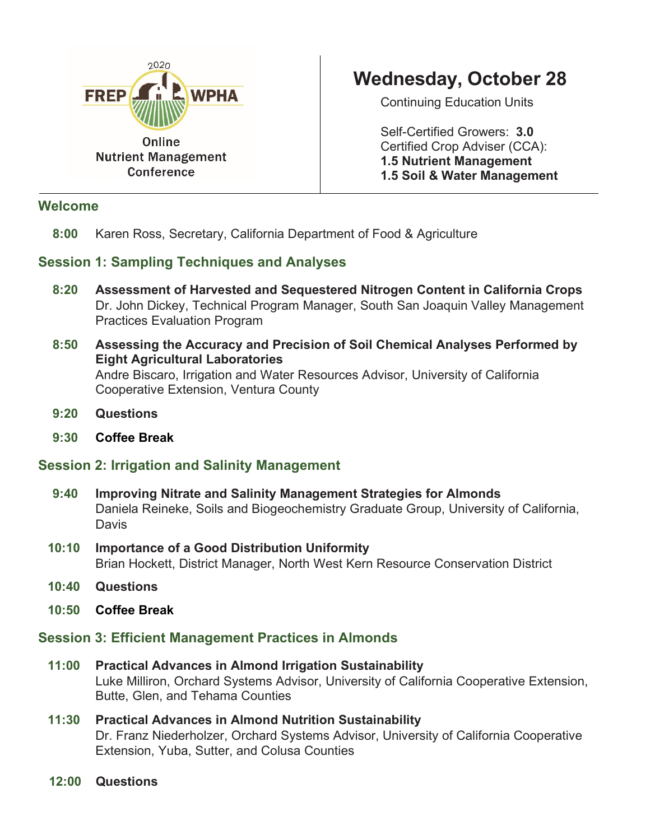

#### **Welcome**

# **Wednesday, October 28**

Continuing Education Units

Self-Certified Growers: **3.0** Certified Crop Adviser (CCA): **1.5 Nutrient Management 1.5 Soil & Water Management**

 **8:00** Karen Ross, Secretary, California Department of Food & Agriculture

## **Session 1: Sampling Techniques and Analyses**

- **8:20 Assessment of Harvested and Sequestered Nitrogen Content in California Crops** Dr. John Dickey, Technical Program Manager, South San Joaquin Valley Management Practices Evaluation Program
- **8:50 Assessing the Accuracy and Precision of Soil Chemical Analyses Performed by Eight Agricultural Laboratories**  Andre Biscaro, Irrigation and Water Resources Advisor, University of California Cooperative Extension, Ventura County
- **9:20 Questions**
- **9:30 Coffee Break**

## **Session 2: Irrigation and Salinity Management**

- **9:40 Improving Nitrate and Salinity Management Strategies for Almonds** Daniela Reineke, Soils and Biogeochemistry Graduate Group, University of California, **Davis**
- **10:10 Importance of a Good Distribution Uniformity** Brian Hockett, District Manager, North West Kern Resource Conservation District
- **10:40 Questions**
- **10:50 Coffee Break**

## **Session 3: Efficient Management Practices in Almonds**

- **11:00 Practical Advances in Almond Irrigation Sustainability**  Luke Milliron, Orchard Systems Advisor, University of California Cooperative Extension, Butte, Glen, and Tehama Counties
- **11:30 Practical Advances in Almond Nutrition Sustainability**  Dr. Franz Niederholzer, Orchard Systems Advisor, University of California Cooperative Extension, Yuba, Sutter, and Colusa Counties
- **12:00 Questions**